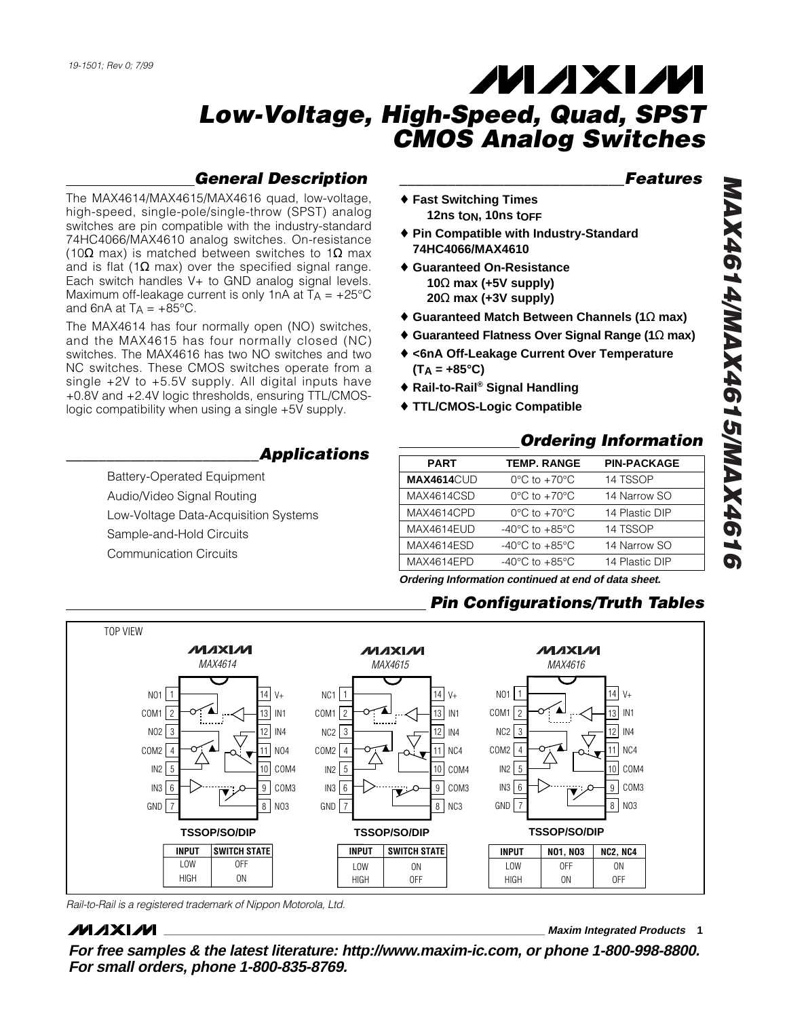## **General Description**

The MAX4614/MAX4615/MAX4616 quad, low-voltage, high-speed, single-pole/single-throw (SPST) analog switches are pin compatible with the industry-standard 74HC4066/MAX4610 analog switches. On-resistance (10 $\Omega$  max) is matched between switches to 1 $\Omega$  max and is flat (1 $\Omega$  max) over the specified signal range. Each switch handles V+ to GND analog signal levels. Maximum off-leakage current is only 1nA at  $T_A = +25^{\circ}C$ and 6nA at  $T_A = +85^{\circ}C$ .

The MAX4614 has four normally open (NO) switches, and the MAX4615 has four normally closed (NC) switches. The MAX4616 has two NO switches and two NC switches. These CMOS switches operate from a single +2V to +5.5V supply. All digital inputs have +0.8V and +2.4V logic thresholds, ensuring TTL/CMOSlogic compatibility when using a single +5V supply.

## **\_\_\_\_\_\_\_\_\_\_\_\_\_\_\_\_\_\_\_\_\_\_\_\_Applications**

Battery-Operated Equipment Audio/Video Signal Routing Low-Voltage Data-Acquisition Systems Sample-and-Hold Circuits Communication Circuits

#### **\_\_\_\_\_\_\_\_\_\_\_\_\_\_\_\_\_\_\_\_\_\_\_\_\_\_\_\_Features**

- ♦ **Fast Switching Times 12ns tON, 10ns tOFF**
- ♦ **Pin Compatible with Industry-Standard 74HC4066/MAX4610**
- ♦ **Guaranteed On-Resistance 10** Ω **max (+5V supply) 20** Ω **max (+3V supply)**
- ♦ **Guaranteed Match Between Channels (1** Ω **max)**
- ♦ **Guaranteed Flatness Over Signal Range (1** Ω **max)**
- ♦ **<6nA Off-Leakage Current Over Temperature (T A = +85°C)**
- ♦ **Rail-to-Rail ® Signal Handling**
- ♦ **TTL/CMOS-Logic Compatible**

#### **Ordering Information**

| <b>PART</b>       | <b>TEMP. RANGE</b>                   | <b>PIN-PACKAGE</b> |
|-------------------|--------------------------------------|--------------------|
| <b>MAX4614CUD</b> | $0^{\circ}$ C to +70 $^{\circ}$ C    | 14 TSSOP           |
| MAX4614CSD        | $0^{\circ}$ C to $+70^{\circ}$ C     | 14 Narrow SO       |
| MAX4614CPD        | $0^{\circ}$ C to $+70^{\circ}$ C     | 14 Plastic DIP     |
| MAX4614EUD        | $-40^{\circ}$ C to $+85^{\circ}$ C   | 14 TSSOP           |
| MAX4614ESD        | -40 $^{\circ}$ C to +85 $^{\circ}$ C | 14 Narrow SO       |
| MAX4614EPD        | $-40^{\circ}$ C to $+85^{\circ}$ C   | 14 Plastic DIP     |
|                   |                                      |                    |

**Ordering Information continued at end of data sheet.**

## **Pin Configurations/Truth Tables**



Rail-to-Rail is a registered trademark of Nippon Motorola, Ltd.

## **MAXIM**

**\_\_\_\_\_\_\_\_\_\_\_\_\_\_\_\_\_\_\_\_\_\_\_\_\_\_\_\_\_\_\_\_\_\_\_\_\_\_\_\_\_\_\_\_\_\_\_\_\_\_\_\_\_\_\_\_\_\_\_\_\_\_\_\_ Maxim Integrated Products 1**

**For free samples & the latest literature: http://www.maxim-ic.com, or phone 1-800-998-8800. For small orders, phone 1-800-835-8769.**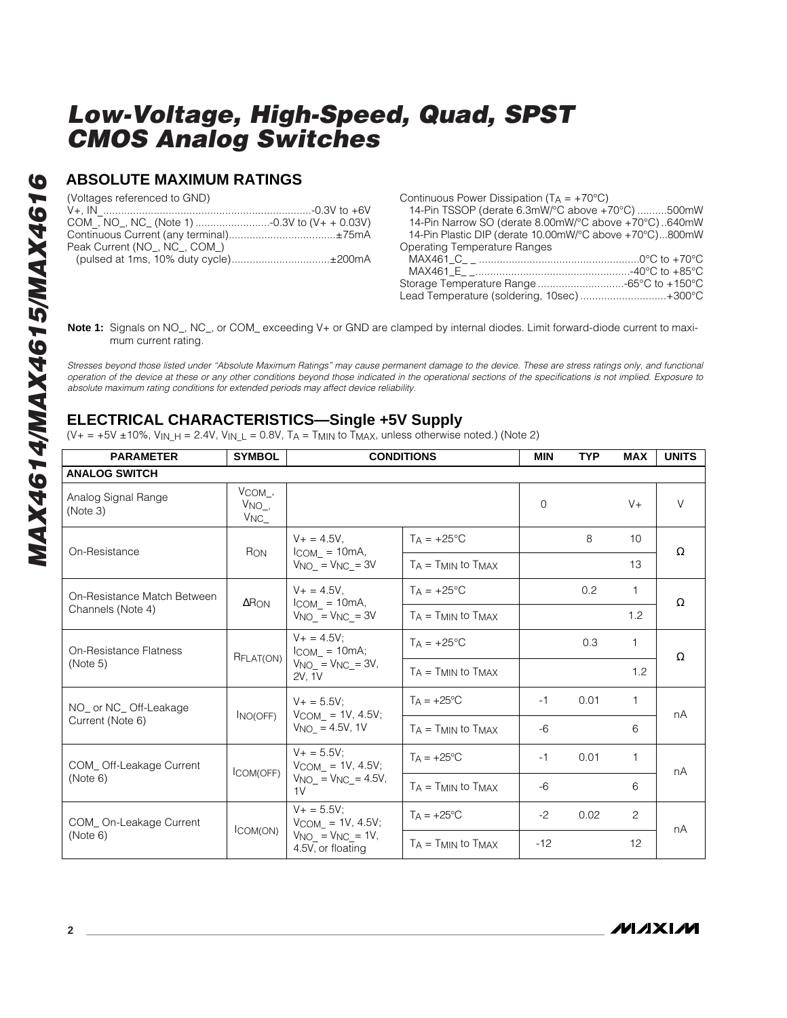#### **ABSOLUTE MAXIMUM RATINGS**

(Voltages referenced to GND)

| Peak Current (NO, NC, COM)            |  |
|---------------------------------------|--|
| (pulsed at 1ms, 10% duty cycle)±200mA |  |

| Continuous Power Dissipation ( $TA = +70^{\circ}C$ )    |  |
|---------------------------------------------------------|--|
| 14-Pin TSSOP (derate 6.3mW/°C above +70°C) 500mW        |  |
| 14-Pin Narrow SO (derate 8.00mW/°C above +70°C)640mW    |  |
| 14-Pin Plastic DIP (derate 10.00mW/°C above +70°C)800mW |  |
| <b>Operating Temperature Ranges</b>                     |  |
|                                                         |  |
|                                                         |  |
|                                                         |  |
| Lead Temperature (soldering, 10sec)+300°C               |  |
|                                                         |  |

**Note 1:** Signals on NO\_, NC\_, or COM\_ exceeding V+ or GND are clamped by internal diodes. Limit forward-diode current to maximum current rating.

Stresses beyond those listed under "Absolute Maximum Ratings" may cause permanent damage to the device. These are stress ratings only, and functional operation of the device at these or any other conditions beyond those indicated in the operational sections of the specifications is not implied. Exposure to absolute maximum rating conditions for extended periods may affect device reliability.

#### **ELECTRICAL CHARACTERISTICS—Single +5V Supply**

(V+ = +5V ±10%, V<sub>IN\_H</sub> = 2.4V, V<sub>IN\_L</sub> = 0.8V, T<sub>A</sub> = T<sub>MIN</sub> to T<sub>MAX</sub>, unless otherwise noted.) (Note 2)

| <b>PARAMETER</b>                | <b>SYMBOL</b>                                                                        | <b>CONDITIONS</b>                             |                              | <b>MIN</b> | <b>TYP</b> | <b>MAX</b>      | <b>UNITS</b> |
|---------------------------------|--------------------------------------------------------------------------------------|-----------------------------------------------|------------------------------|------------|------------|-----------------|--------------|
| <b>ANALOG SWITCH</b>            |                                                                                      |                                               |                              |            |            |                 |              |
| Analog Signal Range<br>(Note 3) | $V_{COM}$ ,<br>$VNO_-,$<br>V <sub>NC</sub>                                           |                                               |                              | $\Omega$   |            | $V +$           | $\vee$       |
| On-Resistance                   | <b>RON</b>                                                                           | $V_+ = 4.5V$ .<br>$ICOM = 10mA,$              | $T_A = +25$ °C               |            | 8          | 10 <sup>1</sup> | $\Omega$     |
|                                 |                                                                                      | $V_{NO_-} = V_{NC_-} = 3V$                    | $T_A = T_{MIN}$ to $T_{MAX}$ |            |            | 13              |              |
| On-Resistance Match Between     | $\Delta$ RON                                                                         | $V + = 4.5V$ ,<br>$ICOM = 10mA$ ,             | $T_A = +25$ °C               |            | 0.2        | 1               | $\Omega$     |
| Channels (Note 4)               |                                                                                      | $V_{NO_} = V_{NC_} = 3V$                      | $T_A = T_{MIN}$ to $T_{MAX}$ |            |            | 1.2             |              |
| On-Resistance Flatness          | $V_+ = 4.5V$ :<br>$I_{COM_} = 10mA;$<br>RFLAT(ON)<br>$VNO_$ = $VNC_$ = 3V,<br>2V, 1V | $TA = +25^{\circ}C$                           |                              | 0.3        | 1          |                 |              |
| (Note 5)                        |                                                                                      |                                               | $T_A = T_{MIN}$ to $T_{MAX}$ |            |            | 1.2             | $\Omega$     |
| NO_ or NC_Off-Leakage           | INO(OFF)                                                                             | $V_+ = 5.5V$ :<br>$V_{COM}$ = 1V, 4.5V;       | $TA = +25^{\circ}C$          | $-1$       | 0.01       | 1               | nA           |
| Current (Note 6)                |                                                                                      | $V_{NO}$ = 4.5V, 1V                           | $T_A = T_{MIN}$ to $T_{MAX}$ | $-6$       |            | 6               |              |
| COM_Off-Leakage Current         |                                                                                      | $V_+ = 5.5V$ :<br>$V_{COM} = 1V, 4.5V;$       | $TA = +25^{\circ}C$          | $-1$       | 0.01       | 1               | nA           |
| (Note 6)                        | ICOM(OFF)                                                                            | $VNO_{-} = VNC_{-} = 4.5V,$<br>1V             | $T_A = T_{MIN}$ to $T_{MAX}$ | $-6$       |            | 6               |              |
| COM_On-Leakage Current          |                                                                                      | $V_+ = 5.5V$ :<br>$V_{COM} = 1V, 4.5V;$       | $TA = +25^{\circ}C$          | $-2$       | 0.02       | 2               | nA           |
| (Note 6)                        | ICOM(ON)                                                                             | $V_{NO} = V_{NC} = 1V$ ,<br>4.5V, or floating | $T_A = T_{MIN}$ to $T_{MAX}$ | $-12$      |            | 12              |              |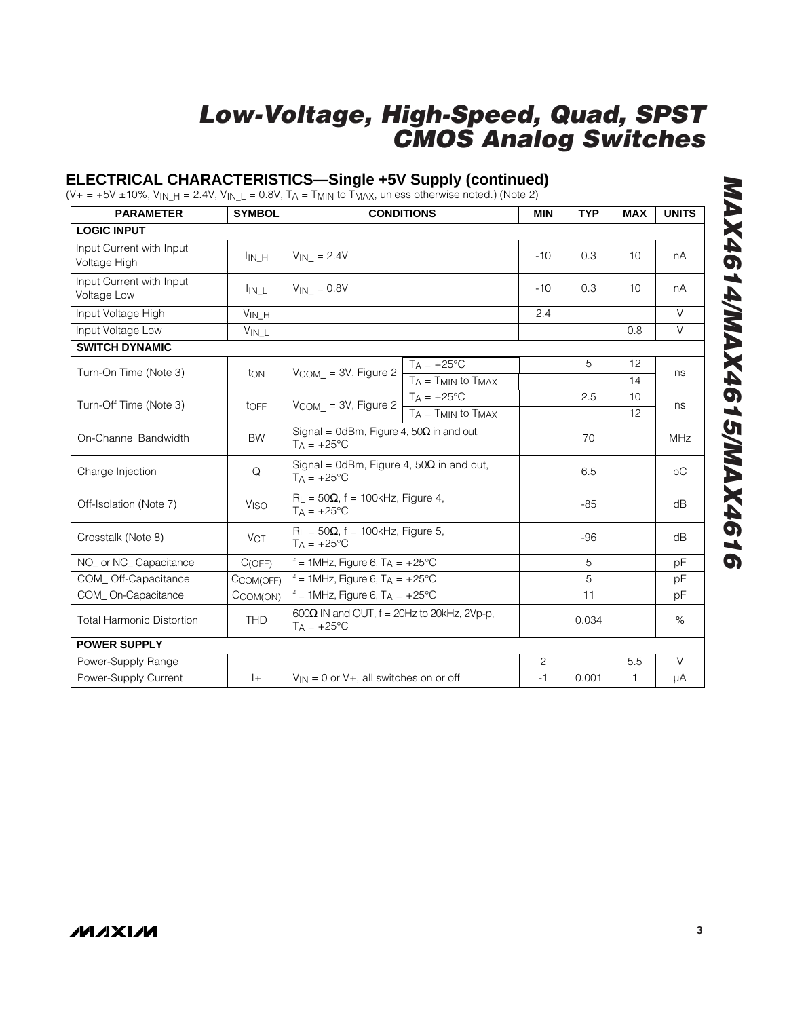## **ELECTRICAL CHARACTERISTICS—Single +5V Supply (continued)**

(V+ = +5V ±10%, V<sub>IN\_H</sub> = 2.4V, V<sub>IN\_L</sub> = 0.8V, T<sub>A</sub> = T<sub>MIN</sub> to T<sub>MAX</sub>, unless otherwise noted.) (Note 2)

| <b>PARAMETER</b>                         | <b>SYMBOL</b>                 |                                                                              | <b>CONDITIONS</b>                 |       | <b>TYP</b> | <b>MAX</b> | <b>UNITS</b> |
|------------------------------------------|-------------------------------|------------------------------------------------------------------------------|-----------------------------------|-------|------------|------------|--------------|
| <b>LOGIC INPUT</b>                       |                               |                                                                              |                                   |       |            |            |              |
| Input Current with Input<br>Voltage High | $I_{IN_H}$                    | $V_{IN}$ = 2.4V                                                              |                                   | $-10$ | 0.3        | 10         | nA           |
| Input Current with Input<br>Voltage Low  | $\mathsf{I}_{\mathsf{IN\_L}}$ | $V_{IN}$ = 0.8V                                                              |                                   | $-10$ | 0.3        | 10         | nA           |
| Input Voltage High                       | $V_{IN\_H}$                   |                                                                              |                                   | 2.4   |            |            | $\vee$       |
| Input Voltage Low                        | $V_{IN\_L}$                   |                                                                              |                                   |       |            | 0.8        | V            |
| <b>SWITCH DYNAMIC</b>                    |                               |                                                                              |                                   |       |            |            |              |
| Turn-On Time (Note 3)                    | ton                           | $V_{COM}$ = 3V, Figure 2                                                     | $T_A = +25^{\circ}C$              |       | 5          | 12         | ns           |
|                                          |                               |                                                                              | $T_A = T_{MIN}$ to $T_{MAX}$      |       |            | 14         |              |
| Turn-Off Time (Note 3)                   | toFF                          | $V$ COM_ = 3V, Figure 2                                                      | $TA = +25^{\circ}C$               |       | 2.5        | 10         | ns           |
|                                          |                               |                                                                              | $T_A = T_{MIN}$ to $T_{MAX}$      |       |            | 12         |              |
| On-Channel Bandwidth                     | <b>BW</b>                     | Signal = 0dBm, Figure 4, $50\Omega$ in and out,<br>$TA = +25^{\circ}C$       |                                   |       | 70         |            | <b>MHz</b>   |
| Charge Injection                         | Q                             | Signal = 0dBm, Figure 4, $50\Omega$ in and out,<br>$TA = +25^{\circ}C$       |                                   |       | 6.5        |            | рC           |
| Off-Isolation (Note 7)                   | VISO                          | $R_L$ = 50 $\Omega$ , f = 100kHz, Figure 4,<br>$TA = +25^{\circ}C$           |                                   |       | $-85$      |            | dB           |
| Crosstalk (Note 8)                       | <b>VCT</b>                    | $R_L = 50\Omega$ , f = 100kHz, Figure 5,<br>$Ta = +25^{\circ}C$              |                                   |       | $-96$      |            | dB           |
| NO or NC Capacitance                     | C(OFF)                        |                                                                              | f = 1MHz, Figure 6, $T_A$ = +25°C |       | 5          |            | pF           |
| COM_Off-Capacitance                      | CCOM(OFF)                     | f = 1MHz, Figure 6, $TA = +25^{\circ}C$                                      |                                   |       | 5          |            | pF           |
| COM_On-Capacitance                       | CCOM(ON)                      | f = 1MHz, Figure 6, $T_A$ = +25°C                                            |                                   |       | 11         |            | pF           |
| <b>Total Harmonic Distortion</b>         | <b>THD</b>                    | 600 $\Omega$ IN and OUT, $f = 20$ Hz to 20kHz, 2Vp-p,<br>$TA = +25^{\circ}C$ |                                   |       | 0.034      |            | $\%$         |
| <b>POWER SUPPLY</b>                      |                               |                                                                              |                                   |       |            |            |              |
| Power-Supply Range                       |                               |                                                                              |                                   |       |            | 5.5        | $\vee$       |
| Power-Supply Current                     | $ + $                         | $V_{IN} = 0$ or $V_{+}$ , all switches on or off                             |                                   | $-1$  | 0.001      | 1.         | μA           |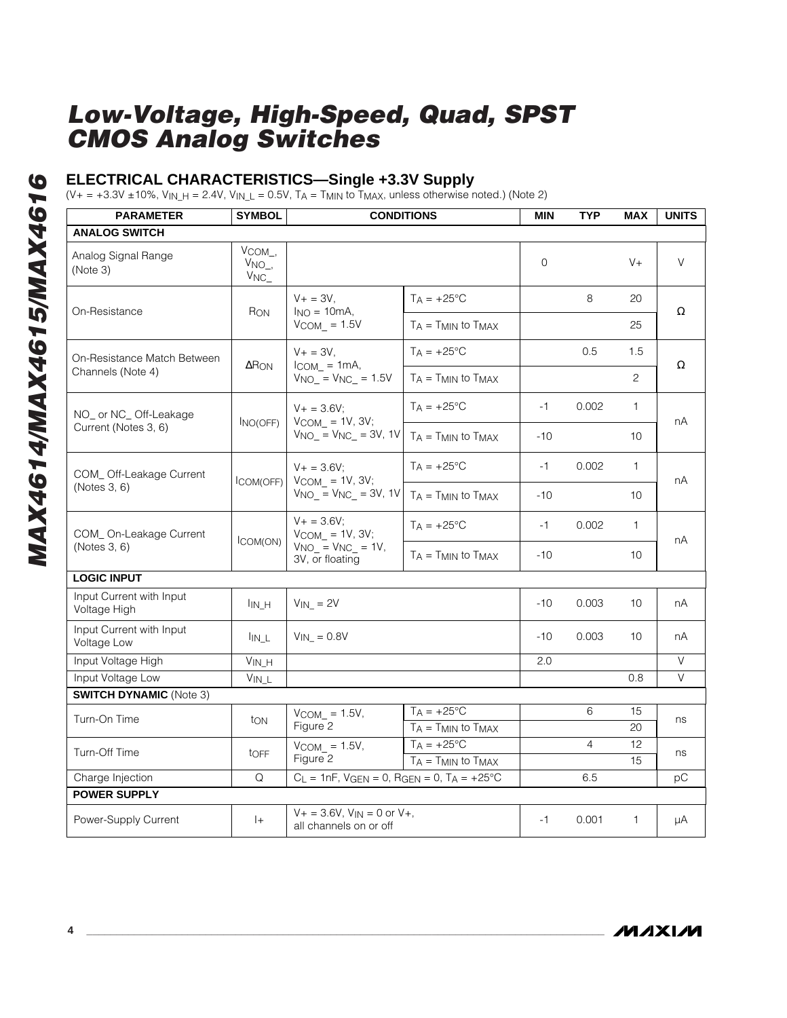#### **ELECTRICAL CHARACTERISTICS—Single +3.3V Supply**

(V+ = +3.3V ±10%, V<sub>IN\_H</sub> = 2.4V, V<sub>IN\_L</sub> = 0.5V, T<sub>A</sub> = T<sub>MIN</sub> to T<sub>MAX</sub>, unless otherwise noted.) (Note 2)

| <b>PARAMETER</b>                         | <b>SYMBOL</b>                            | <b>CONDITIONS</b>                                                                       |                              | <b>MIN</b>   | <b>TYP</b>     | <b>MAX</b>     | <b>UNITS</b> |
|------------------------------------------|------------------------------------------|-----------------------------------------------------------------------------------------|------------------------------|--------------|----------------|----------------|--------------|
| <b>ANALOG SWITCH</b>                     |                                          |                                                                                         |                              |              |                |                |              |
| Analog Signal Range<br>(Note 3)          | $V_{COM_},$<br>$VNO_$<br>V <sub>NC</sub> |                                                                                         |                              | $\mathbf{O}$ |                | $V +$          | $\vee$       |
| On-Resistance                            | $R_{ON}$                                 | $V + = 3V$ .<br>$I_{NO} = 10mA,$                                                        | $T_A = +25$ °C               |              | 8              | 20             | Ω            |
|                                          |                                          | $V_{COM}$ = 1.5V                                                                        | $T_A = T_{MIN}$ to $T_{MAX}$ |              |                | 25             |              |
| On-Resistance Match Between              | $\Delta$ R <sub>ON</sub>                 | $V + = 3V,$<br>$I_{COM} = 1mA$ ,                                                        | $T_A = +25^{\circ}C$         |              | 0.5            | 1.5            | $\Omega$     |
| Channels (Note 4)                        |                                          | $VNO_$ = $VNC_$ = 1.5V                                                                  | $TA = TMIN$ to $TMAX$        |              |                | $\overline{c}$ |              |
| NO_ or NC_ Off-Leakage                   |                                          | $V + = 3.6V$                                                                            | $T_A = +25^{\circ}C$         | $-1$         | 0.002          | 1.             | nA           |
| Current (Notes 3, 6)                     | INO(OFF)                                 | $V_{COM}$ = 1V, 3V;<br>$V_{NO}$ = $V_{NC}$ = 3V, 1V                                     | $TA = TMIN$ to $TMAX$        | $-10$        |                | 10             |              |
| COM_Off-Leakage Current                  |                                          | $V + = 3.6V$ :<br>$V_{COM}$ = 1V, 3V;<br>$V_{NO_-} = V_{NC_-} = 3V$ , 1V                | $T_A = +25$ °C               | $-1$         | 0.002          | $\mathbf{1}$   | nA           |
| (Notes 3, 6)                             | COM(OFF)                                 |                                                                                         | $T_A = T_{MIN}$ to $T_{MAX}$ | $-10$        |                | 10             |              |
| COM_On-Leakage Current                   | ICOM(ON)                                 | $V + = 3.6V$ ;<br>$V_{COM}$ = 1V, 3V;<br>$V_{NO-} = V_{NC_-} = 1V$ ,<br>3V, or floating | $TA = +25^{\circ}C$          | $-1$         | 0.002          | $\mathbf{1}$   | nA           |
| (Notes 3, 6)                             |                                          |                                                                                         | $T_A = T_{MIN}$ to $T_{MAX}$ | $-10$        |                | 10             |              |
| <b>LOGIC INPUT</b>                       |                                          |                                                                                         |                              |              |                |                |              |
| Input Current with Input<br>Voltage High | I <sub>IN</sub> H                        | $V_{IN}$ = 2V                                                                           |                              | $-10$        | 0.003          | 10             | nA           |
| Input Current with Input<br>Voltage Low  | $\mathsf{I}_{\mathsf{IN\_L}}$            | $V_{IN}$ = 0.8V                                                                         |                              | $-10$        | 0.003          | 10             | nA           |
| Input Voltage High                       | $\mathsf{V}_{\mathsf{IN\_H}}$            |                                                                                         |                              | 2.0          |                |                | $\vee$       |
| Input Voltage Low                        | $V_{IN\_L}$                              |                                                                                         |                              |              |                | 0.8            | V            |
| <b>SWITCH DYNAMIC (Note 3)</b>           |                                          |                                                                                         |                              |              |                |                |              |
| Turn-On Time                             | ton                                      | $V_{COM}$ = 1.5V,                                                                       | $T_A = +25^{\circ}C$         |              | 6              | 15             | ns           |
|                                          |                                          | Figure <sub>2</sub>                                                                     | $TA = TMIN$ to $TMAX$        |              |                | 20             |              |
| Turn-Off Time                            | tOFF                                     | $VCOM$ = 1.5V,                                                                          | $T_A = +25^{\circ}C$         |              | $\overline{4}$ | 12             | ns           |
|                                          |                                          | Figure 2                                                                                | $T_A = T_{MIN}$ to $T_{MAX}$ |              |                | 15             |              |
| Charge Injection                         | Q                                        | $C_L = 1nF$ , $V_{GEN} = 0$ , $R_{GEN} = 0$ , $T_A = +25°C$                             |                              |              | 6.5            |                | рC           |
| <b>POWER SUPPLY</b>                      |                                          |                                                                                         |                              |              |                |                |              |
| Power-Supply Current                     | $ +$                                     | $V_+ = 3.6V$ , $V_{IN} = 0$ or $V_+$ ,<br>all channels on or off                        |                              | $-1$         | 0.001          | $\mathbf{1}$   | μA           |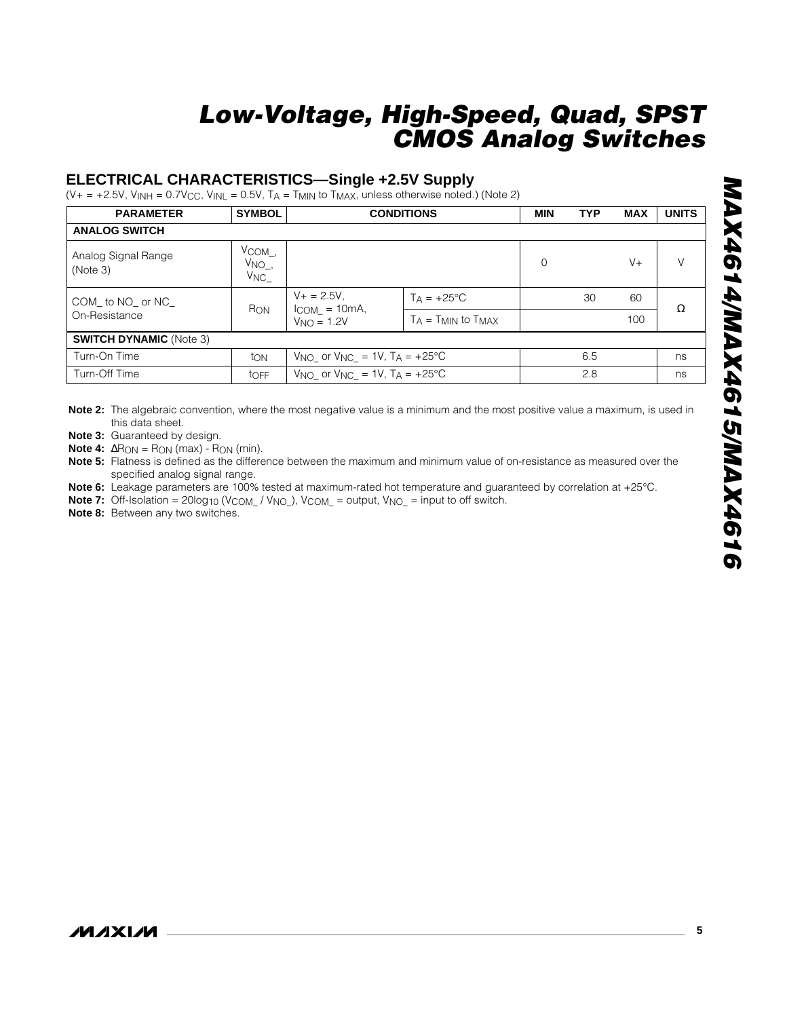#### **ELECTRICAL CHARACTERISTICS—Single +2.5V Supply**

(V+ = +2.5V, V<sub>INH</sub> = 0.7V $_{\rm CC}$ , V<sub>INL</sub> = 0.5V, T $_{\rm A}$  = T<sub>MIN</sub> to T<sub>MAX</sub>, unless otherwise noted.) (Note 2)

| <b>PARAMETER</b>                | <b>SYMBOL</b>                                      | <b>CONDITIONS</b>                                 |                              | <b>MIN</b> | <b>TYP</b> | <b>MAX</b> | <b>UNITS</b> |
|---------------------------------|----------------------------------------------------|---------------------------------------------------|------------------------------|------------|------------|------------|--------------|
| <b>ANALOG SWITCH</b>            |                                                    |                                                   |                              |            |            |            |              |
| Analog Signal Range<br>(Note 3) | $V$ COM $_{-}$ ,<br>$V_{NO_-,}$<br>V <sub>NC</sub> |                                                   |                              | $\Omega$   |            | $V +$      | $\vee$       |
| COM to NO or NC                 | R <sub>ON</sub>                                    | $V_+ = 2.5V$ ,<br>$ICOM = 10mA,$                  | $Ta = +25^{\circ}C$          |            | 30         | 60         | Ω            |
| On-Resistance                   |                                                    | $VNO = 1.2V$                                      | $T_A = T_{MIN}$ to $T_{MAX}$ |            |            | 100        |              |
| <b>SWITCH DYNAMIC (Note 3)</b>  |                                                    |                                                   |                              |            |            |            |              |
| Turn-On Time                    | ton                                                | $V_{NO}$ or $V_{NC}$ = 1V, T <sub>A</sub> = +25°C |                              |            | 6.5        |            | ns           |
| Turn-Off Time                   | toFF                                               | $V_{NO}$ or $V_{NC} = 1V$ , $T_A = +25^{\circ}C$  |                              |            | 2.8        |            | ns           |

**Note 2:** The algebraic convention, where the most negative value is a minimum and the most positive value a maximum, is used in this data sheet.

**Note 3:** Guaranteed by design.

**Note 4:**  $\Delta R_{ON} = R_{ON}$  (max) -  $R_{ON}$  (min).

**Note 5:** Flatness is defined as the difference between the maximum and minimum value of on-resistance as measured over the specified analog signal range.

- **Note 6:** Leakage parameters are 100% tested at maximum-rated hot temperature and guaranteed by correlation at +25°C.
- **Note 7:** Off-Isolation =  $20\log_{10}$  (V<sub>COM\_</sub> / V<sub>NO\_</sub>), V<sub>COM\_</sub> = output, V<sub>NO\_</sub> = input to off switch.

**Note 8:** Between any two switches.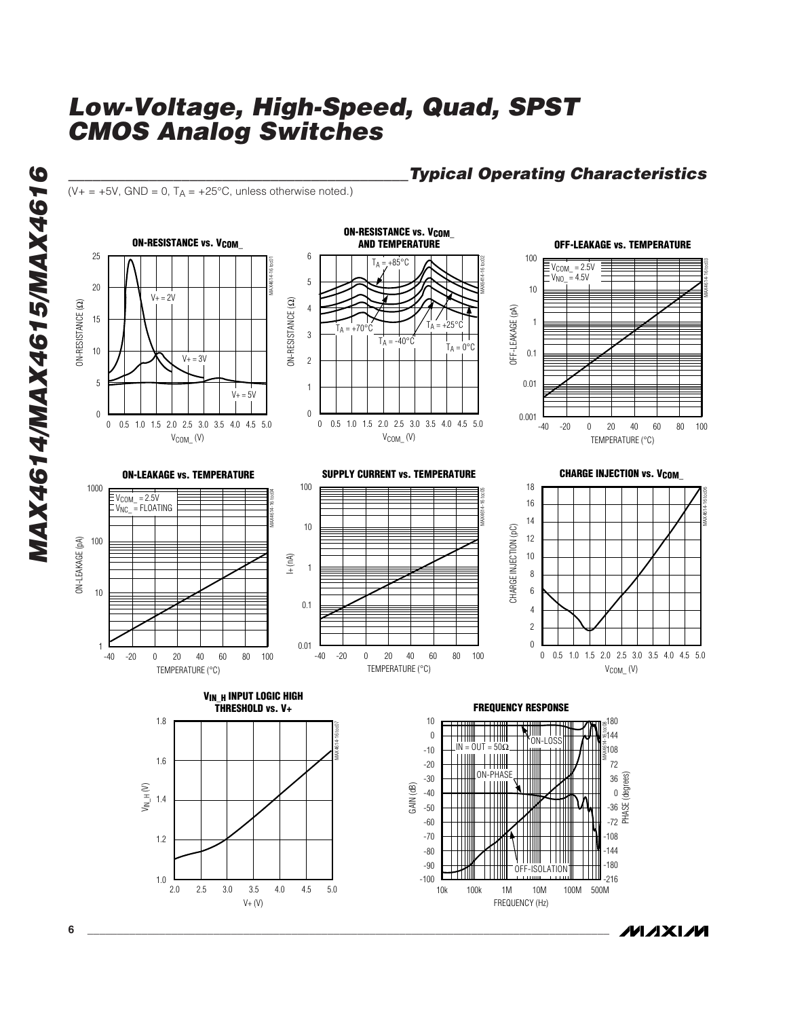$(V_{+} = +5V$ , GND = 0, T<sub>A</sub> =  $+25^{\circ}$ C, unless otherwise noted.)



## *\_\_\_\_\_\_\_\_\_\_\_\_\_\_\_\_\_\_\_\_\_\_\_\_\_\_\_\_\_\_\_\_\_\_\_\_\_\_\_\_\_\_Typical Operating Characteristics*

**MAXM** 

-216

10k 100k 1M 10M 100M 500M

-100

FREQUENCY (Hz)

1.0

V+ (V)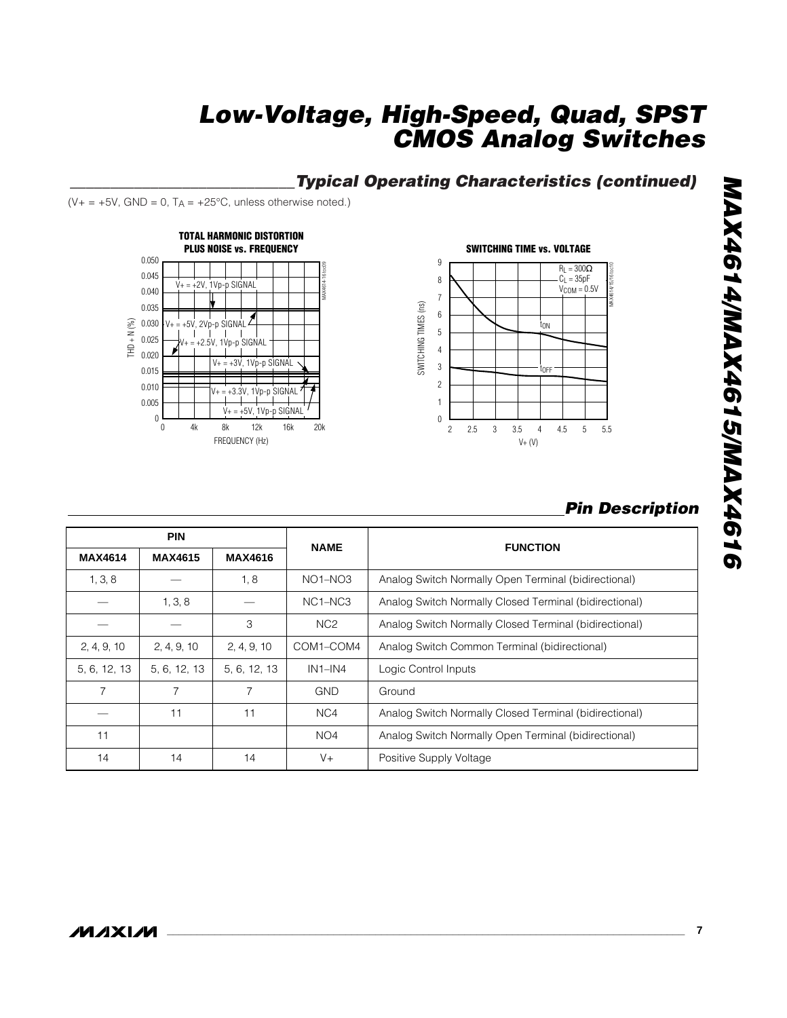#### **\_\_\_\_\_\_\_\_\_\_\_\_\_\_\_\_\_\_\_\_\_\_\_\_\_\_\_\_Typical Operating Characteristics (continued)**

 $(V + = +5V,$  GND = 0,  $T_A = +25^{\circ}C$ , unless otherwise noted.)





#### **Pin Description**

|                | <b>PIN</b>     |                | <b>NAME</b>                      | <b>FUNCTION</b>                                        |
|----------------|----------------|----------------|----------------------------------|--------------------------------------------------------|
| <b>MAX4614</b> | <b>MAX4615</b> | <b>MAX4616</b> |                                  |                                                        |
| 1, 3, 8        |                | 1, 8           | $NO1-NO3$                        | Analog Switch Normally Open Terminal (bidirectional)   |
|                | 1, 3, 8        |                | NC <sub>1</sub> -NC <sub>3</sub> | Analog Switch Normally Closed Terminal (bidirectional) |
|                |                | 3              | NC <sub>2</sub>                  | Analog Switch Normally Closed Terminal (bidirectional) |
| 2, 4, 9, 10    | 2, 4, 9, 10    | 2, 4, 9, 10    | COM1-COM4                        | Analog Switch Common Terminal (bidirectional)          |
| 5, 6, 12, 13   | 5, 6, 12, 13   | 5, 6, 12, 13   | $IN1-N4$                         | Logic Control Inputs                                   |
| $\overline{7}$ | 7              |                | <b>GND</b>                       | Ground                                                 |
|                | 11             | 11             | NC4                              | Analog Switch Normally Closed Terminal (bidirectional) |
| 11             |                |                | NO4                              | Analog Switch Normally Open Terminal (bidirectional)   |
| 14             | 14             | 14             | $V +$                            | Positive Supply Voltage                                |

# MAX4614/MAX4615/MAX4616 **MAX4614/MAX4615/MAX4616**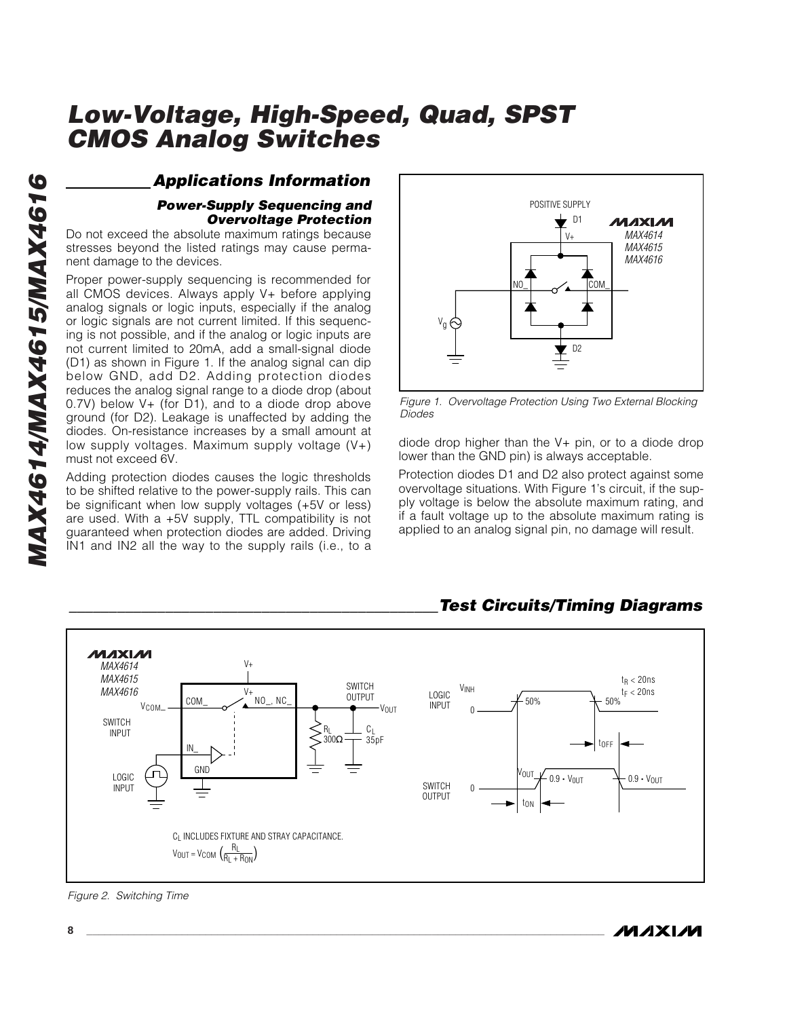## **Applications Information**

#### **Power-Supply Sequencing and Overvoltage Protection**

Do not exceed the absolute maximum ratings because stresses beyond the listed ratings may cause permanent damage to the devices.

Proper power-supply sequencing is recommended for all CMOS devices. Always apply V+ before applying analog signals or logic inputs, especially if the analog or logic signals are not current limited. If this sequencing is not possible, and if the analog or logic inputs are not current limited to 20mA, add a small-signal diode (D1) as shown in Figure 1. If the analog signal can dip below GND, add D2. Adding protection diodes reduces the analog signal range to a diode drop (about 0.7V) below V+ (for D1), and to a diode drop above ground (for D2). Leakage is unaffected by adding the diodes. On-resistance increases by a small amount at low supply voltages. Maximum supply voltage (V+) must not exceed 6V.

Adding protection diodes causes the logic thresholds to be shifted relative to the power-supply rails. This can be significant when low supply voltages (+5V or less) are used. With a +5V supply, TTL compatibility is not guaranteed when protection diodes are added. Driving IN1 and IN2 all the way to the supply rails (i.e., to a



Figure 1. Overvoltage Protection Using Two External Blocking Diodes

diode drop higher than the V+ pin, or to a diode drop lower than the GND pin) is always acceptable.

Protection diodes D1 and D2 also protect against some overvoltage situations. With Figure 1's circuit, if the supply voltage is below the absolute maximum rating, and if a fault voltage up to the absolute maximum rating is applied to an analog signal pin, no damage will result.



## **\_\_\_\_\_\_\_\_\_\_\_\_\_\_\_\_\_\_\_\_\_\_\_\_\_\_\_\_\_\_\_\_\_\_\_\_\_\_\_\_\_\_\_\_\_\_Test Circuits/Timing Diagrams**

Figure 2. Switching Time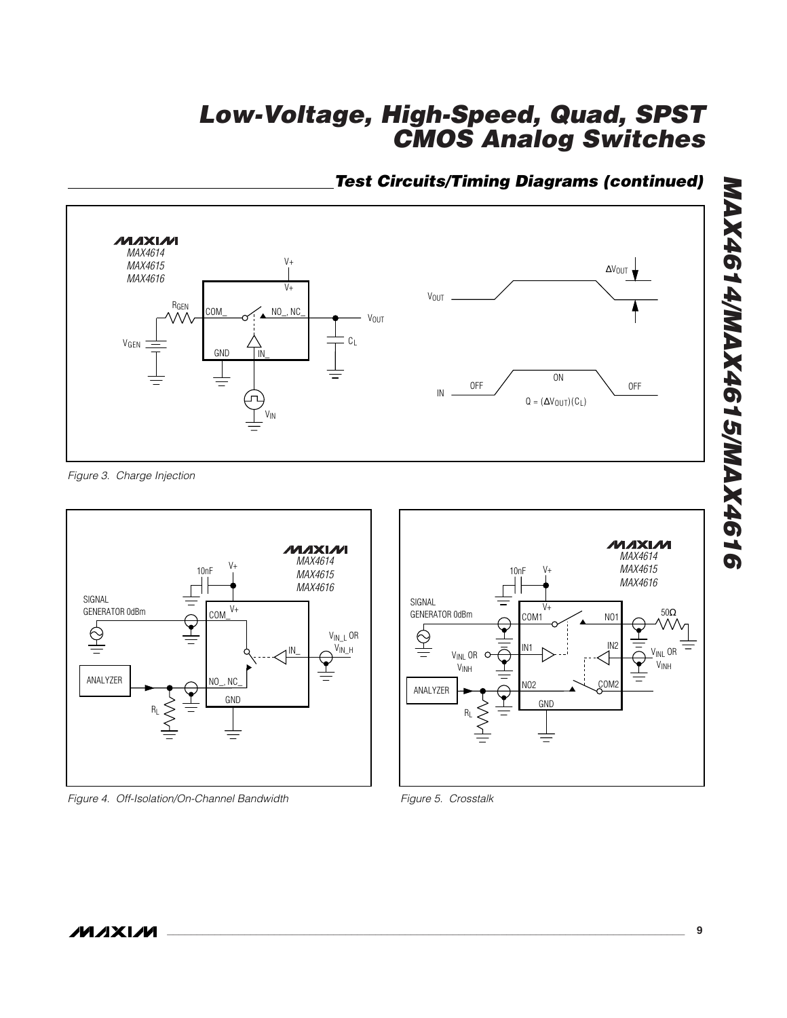## **Test Circuits/Timing Diagrams (continued)**



Figure 3. Charge Injection



Figure 4. Off-Isolation/On-Channel Bandwidth



Figure 5. Crosstalk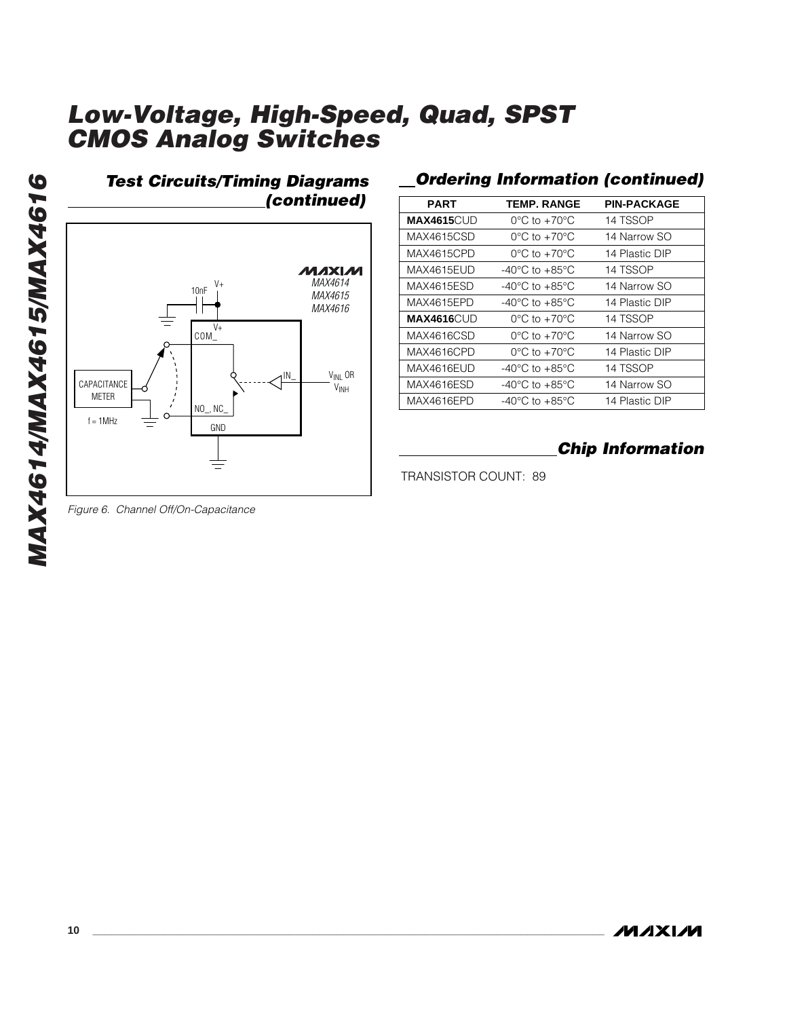

#### **Ordering Information (continued)**

| <b>PART</b>        | <b>TEMP. RANGE</b>                 | <b>PIN-PACKAGE</b> |
|--------------------|------------------------------------|--------------------|
| <b>MAX4615</b> CUD | $0^{\circ}$ C to $+70^{\circ}$ C   | 14 TSSOP           |
| MAX4615CSD         | $0^{\circ}$ C to +70 $^{\circ}$ C  | 14 Narrow SO       |
| MAX4615CPD         | $0^{\circ}$ C to $+70^{\circ}$ C   | 14 Plastic DIP     |
| MAX4615EUD         | $-40^{\circ}$ C to $+85^{\circ}$ C | 14 TSSOP           |
| MAX4615ESD         | $-40^{\circ}$ C to $+85^{\circ}$ C | 14 Narrow SO       |
| MAX4615EPD         | $-40^{\circ}$ C to $+85^{\circ}$ C | 14 Plastic DIP     |
| MAX4616CUD         | $0^{\circ}$ C to $+70^{\circ}$ C   | 14 TSSOP           |
| MAX4616CSD         | $0^{\circ}$ C to $+70^{\circ}$ C   | 14 Narrow SO       |
| MAX4616CPD         | $0^{\circ}$ C to $+70^{\circ}$ C   | 14 Plastic DIP     |
| MAX4616EUD         | $-40^{\circ}$ C to $+85^{\circ}$ C | 14 TSSOP           |
| MAX4616ESD         | -40°C to +85°C                     | 14 Narrow SO       |
| MAX4616EPD         | -40°C to +85°C                     | 14 Plastic DIP     |

## **Chip Information**

TRANSISTOR COUNT: 89

Figure 6. Channel Off/On-Capacitance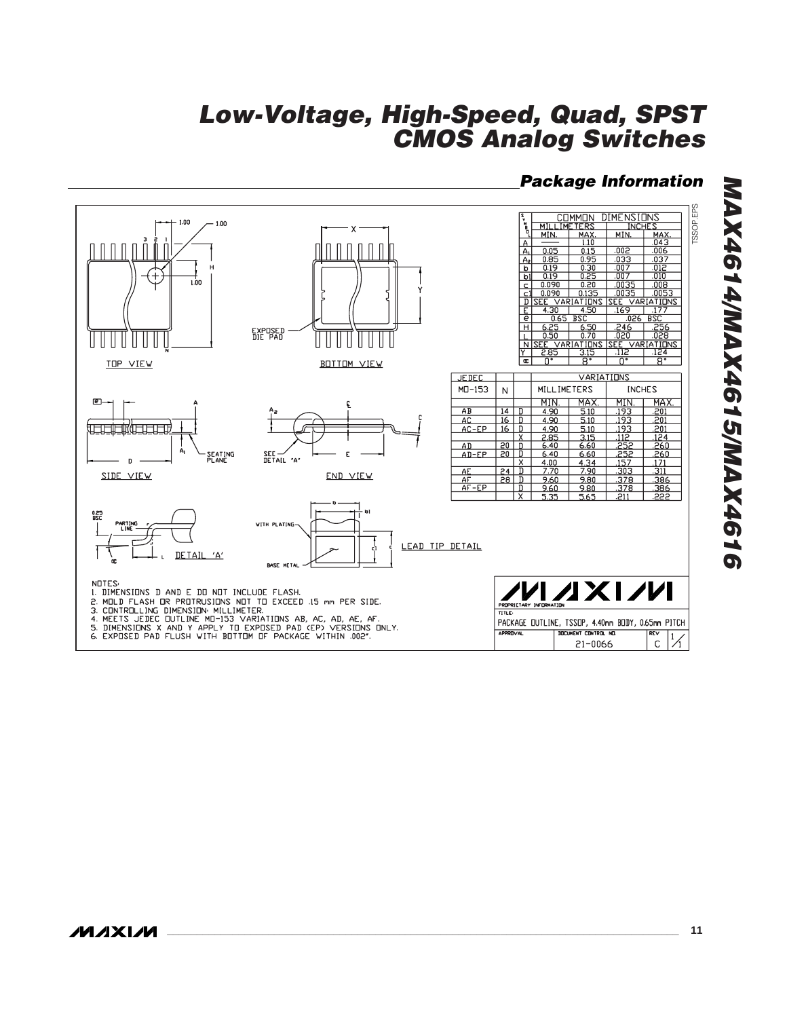#### **Package Information**